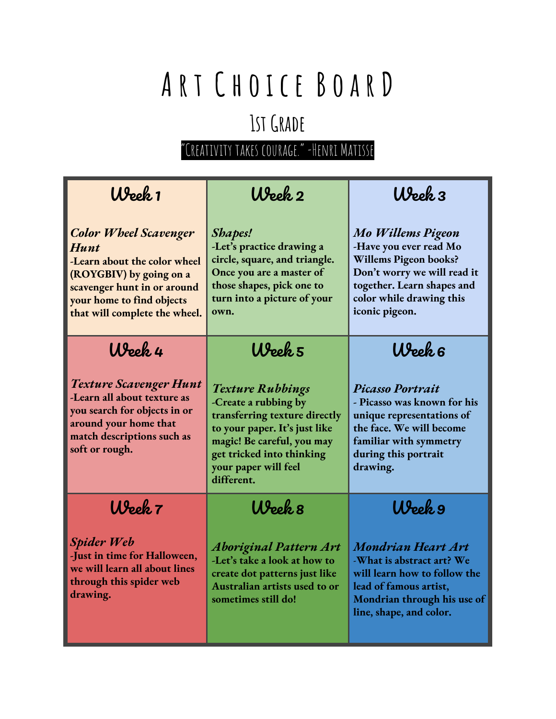### **1stGrade**

| Week 1                                                                                                                                                                                       | Week 2                                                                                                                                                                                                             | Week 3                                                                                                                                                                                        |
|----------------------------------------------------------------------------------------------------------------------------------------------------------------------------------------------|--------------------------------------------------------------------------------------------------------------------------------------------------------------------------------------------------------------------|-----------------------------------------------------------------------------------------------------------------------------------------------------------------------------------------------|
| <b>Color Wheel Scavenger</b><br>Hunt<br>-Learn about the color wheel<br>(ROYGBIV) by going on a<br>scavenger hunt in or around<br>your home to find objects<br>that will complete the wheel. | Shapes!<br>-Let's practice drawing a<br>circle, square, and triangle.<br>Once you are a master of<br>those shapes, pick one to<br>turn into a picture of your<br>own.                                              | <b>Mo Willems Pigeon</b><br>-Have you ever read Mo<br><b>Willems Pigeon books?</b><br>Don't worry we will read it<br>together. Learn shapes and<br>color while drawing this<br>iconic pigeon. |
| Week 4                                                                                                                                                                                       | Week 5                                                                                                                                                                                                             | Week 6                                                                                                                                                                                        |
| <b>Texture Scavenger Hunt</b><br>-Learn all about texture as<br>you search for objects in or<br>around your home that<br>match descriptions such as<br>soft or rough.                        | <b>Texture Rubbings</b><br>-Create a rubbing by<br>transferring texture directly<br>to your paper. It's just like<br>magic! Be careful, you may<br>get tricked into thinking<br>your paper will feel<br>different. | <b>Picasso Portrait</b><br>- Picasso was known for his<br>unique representations of<br>the face. We will become<br>familiar with symmetry<br>during this portrait<br>drawing.                 |
| Week 7                                                                                                                                                                                       | Week 8                                                                                                                                                                                                             | Week 9                                                                                                                                                                                        |
| Spider Web<br>-Just in time for Halloween,<br>we will learn all about lines<br>through this spider web<br>drawing.                                                                           | <b>Aboriginal Pattern Art</b><br>-Let's take a look at how to<br>create dot patterns just like<br>Australian artists used to or<br>sometimes still do!                                                             | <b>Mondrian Heart Art</b><br>-What is abstract art? We<br>will learn how to follow the<br>lead of famous artist,<br>Mondrian through his use of<br>line, shape, and color.                    |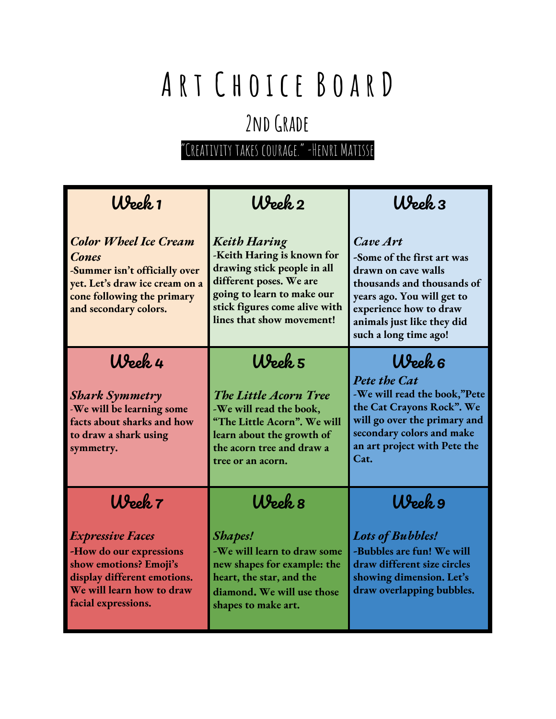### 2ND GRADE

| Week 1                                                                                                                                                                 | Week 2                                                                                                                                                                                                  | Week 3                                                                                                                                                                                                     |
|------------------------------------------------------------------------------------------------------------------------------------------------------------------------|---------------------------------------------------------------------------------------------------------------------------------------------------------------------------------------------------------|------------------------------------------------------------------------------------------------------------------------------------------------------------------------------------------------------------|
| <b>Color Wheel Ice Cream</b><br><b>Cones</b><br>-Summer isn't officially over<br>yet. Let's draw ice cream on a<br>cone following the primary<br>and secondary colors. | <b>Keith Haring</b><br>-Keith Haring is known for<br>drawing stick people in all<br>different poses. We are<br>going to learn to make our<br>stick figures come alive with<br>lines that show movement! | Cave Art<br>-Some of the first art was<br>drawn on cave walls<br>thousands and thousands of<br>years ago. You will get to<br>experience how to draw<br>animals just like they did<br>such a long time ago! |
| Week 4                                                                                                                                                                 | Week 5                                                                                                                                                                                                  | Week 6                                                                                                                                                                                                     |
| <b>Shark Symmetry</b><br>-We will be learning some<br>facts about sharks and how<br>to draw a shark using<br>symmetry.                                                 | The Little Acorn Tree<br>-We will read the book,<br>"The Little Acorn". We will<br>learn about the growth of<br>the acorn tree and draw a<br>tree or an acorn.                                          | Pete the Cat<br>-We will read the book,"Pete<br>the Cat Crayons Rock". We<br>will go over the primary and<br>secondary colors and make<br>an art project with Pete the<br>Cat.                             |
| Week 7                                                                                                                                                                 | Week 8                                                                                                                                                                                                  | Week 9                                                                                                                                                                                                     |
| <b>Expressive Faces</b><br>-How do our expressions<br>show emotions? Emoji's<br>display different emotions.<br>We will learn how to draw<br>facial expressions.        | <b>Shapes!</b><br>-We will learn to draw some<br>new shapes for example: the<br>heart, the star, and the<br>diamond. We will use those<br>shapes to make art.                                           | <b>Lots of Bubbles!</b><br>-Bubbles are fun! We will<br>draw different size circles<br>showing dimension. Let's<br>draw overlapping bubbles.                                                               |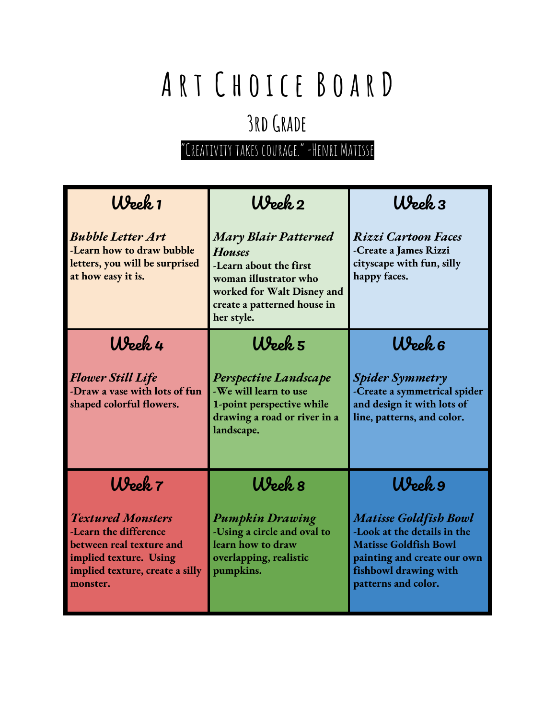### **3rdGrade**

| Week 1                                                                                                                                                 | Week 2                                                                                                                                                                     | $W$ eek $3$                                                                                                                                                                |
|--------------------------------------------------------------------------------------------------------------------------------------------------------|----------------------------------------------------------------------------------------------------------------------------------------------------------------------------|----------------------------------------------------------------------------------------------------------------------------------------------------------------------------|
| <b>Bubble Letter Art</b><br>-Learn how to draw bubble<br>letters, you will be surprised<br>at how easy it is.                                          | <b>Mary Blair Patterned</b><br><b>Houses</b><br>-Learn about the first<br>woman illustrator who<br>worked for Walt Disney and<br>create a patterned house in<br>her style. | Rizzi Cartoon Faces<br>-Create a James Rizzi<br>cityscape with fun, silly<br>happy faces.                                                                                  |
| Week 4                                                                                                                                                 | Week 5                                                                                                                                                                     | Week 6                                                                                                                                                                     |
| <b>Flower Still Life</b><br>-Draw a vase with lots of fun<br>shaped colorful flowers.                                                                  | <b>Perspective Landscape</b><br>-We will learn to use<br>1-point perspective while<br>drawing a road or river in a<br>landscape.                                           | <b>Spider Symmetry</b><br>-Create a symmetrical spider<br>and design it with lots of<br>line, patterns, and color.                                                         |
| Week 7                                                                                                                                                 | Week 8                                                                                                                                                                     | Week 9                                                                                                                                                                     |
| <b>Textured Monsters</b><br>-Learn the difference<br>between real texture and<br>implied texture. Using<br>implied texture, create a silly<br>monster. | <b>Pumpkin Drawing</b><br>-Using a circle and oval to<br>learn how to draw<br>overlapping, realistic<br>pumpkins.                                                          | <b>Matisse Goldfish Bowl</b><br>-Look at the details in the<br><b>Matisse Goldfish Bowl</b><br>painting and create our own<br>fishbowl drawing with<br>patterns and color. |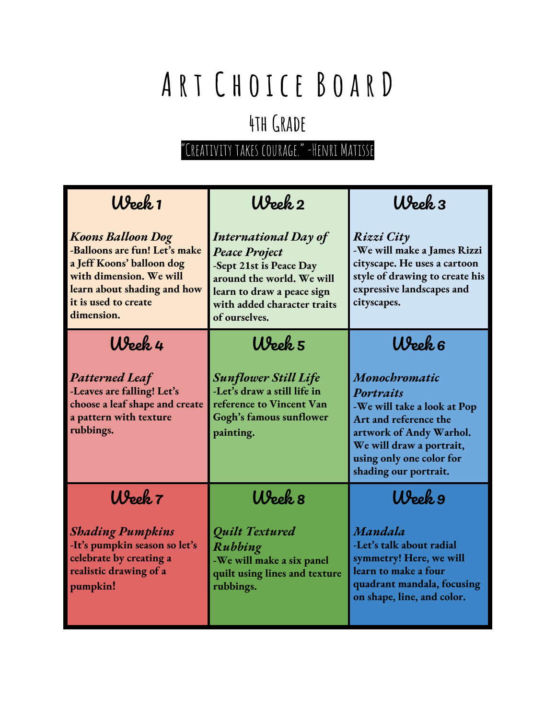### **4thGrade**

| Week 1                                                                                                                                                                                 | Week 2                                                                                                                                                                                    | $Upe$ k $3$                                                                                                                                                                                    |
|----------------------------------------------------------------------------------------------------------------------------------------------------------------------------------------|-------------------------------------------------------------------------------------------------------------------------------------------------------------------------------------------|------------------------------------------------------------------------------------------------------------------------------------------------------------------------------------------------|
| <b>Koons Balloon Dog</b><br>-Balloons are fun! Let's make<br>a Jeff Koons' balloon dog<br>with dimension. We will<br>learn about shading and how<br>it is used to create<br>dimension. | <b>International Day of</b><br><b>Peace Project</b><br>-Sept 21st is Peace Day<br>around the world. We will<br>learn to draw a peace sign<br>with added character traits<br>of ourselves. | Rizzi City<br>-We will make a James Rizzi<br>cityscape. He uses a cartoon<br>style of drawing to create his<br>expressive landscapes and<br>cityscapes.                                        |
| Week 4                                                                                                                                                                                 | Week 5                                                                                                                                                                                    | Week 6                                                                                                                                                                                         |
| <b>Patterned Leaf</b><br>-Leaves are falling! Let's<br>choose a leaf shape and create<br>a pattern with texture<br>rubbings.                                                           | <b>Sunflower Still Life</b><br>-Let's draw a still life in<br>reference to Vincent Van<br>Gogh's famous sunflower<br>painting.                                                            | Monochromatic<br>Portraits<br>-We will take a look at Pop<br>Art and reference the<br>artwork of Andy Warhol.<br>We will draw a portrait,<br>using only one color for<br>shading our portrait. |
| Week 7                                                                                                                                                                                 | Week 8                                                                                                                                                                                    | Week 9                                                                                                                                                                                         |
| <b>Shading Pumpkins</b><br>-It's pumpkin season so let's<br>celebrate by creating a<br>realistic drawing of a<br>pumpkin!                                                              | <b>Quilt Textured</b><br>Rubbing<br>-We will make a six panel<br>quilt using lines and texture<br>rubbings.                                                                               | Mandala<br>-Let's talk about radial<br>symmetry! Here, we will<br>learn to make a four<br>quadrant mandala, focusing<br>on shape, line, and color.                                             |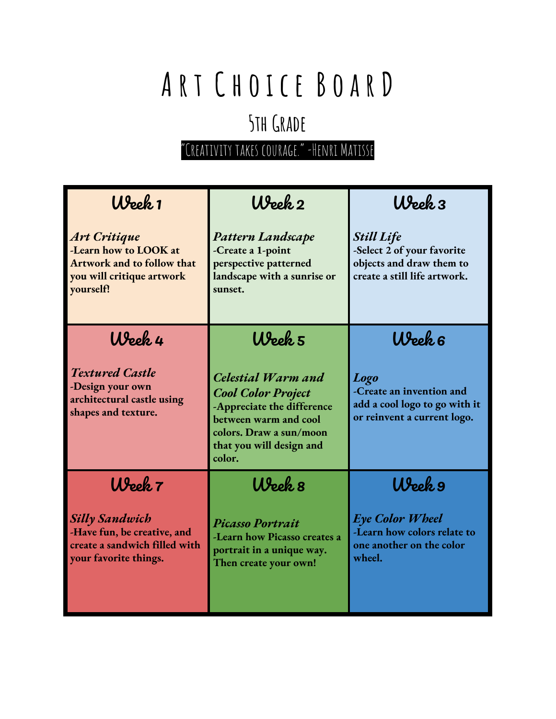### **5thGrade**

| Week 1                                                                                                               | Week 2                                                                                                                                                                  | Week 3                                                                                                      |
|----------------------------------------------------------------------------------------------------------------------|-------------------------------------------------------------------------------------------------------------------------------------------------------------------------|-------------------------------------------------------------------------------------------------------------|
| <b>Art Critique</b><br>-Learn how to LOOK at<br>Artwork and to follow that<br>you will critique artwork<br>yourself! | Pattern Landscape<br>-Create a 1-point<br>perspective patterned<br>landscape with a sunrise or<br>sunset.                                                               | <b>Still Life</b><br>-Select 2 of your favorite<br>objects and draw them to<br>create a still life artwork. |
| Week 4                                                                                                               | Week 5                                                                                                                                                                  | Week 6                                                                                                      |
| <b>Textured Castle</b><br>-Design your own<br>architectural castle using<br>shapes and texture.                      | Celestial Warm and<br><b>Cool Color Project</b><br>-Appreciate the difference<br>between warm and cool<br>colors. Draw a sun/moon<br>that you will design and<br>color. | <b>Logo</b><br>-Create an invention and<br>add a cool logo to go with it<br>or reinvent a current logo.     |
| Week 7                                                                                                               | Week 8                                                                                                                                                                  | Week 9                                                                                                      |
| <b>Silly Sandwich</b><br>-Have fun, be creative, and<br>create a sandwich filled with<br>your favorite things.       | <b>Picasso Portrait</b><br>-Learn how Picasso creates a<br>portrait in a unique way.<br>Then create your own!                                                           | Eye Color Wheel<br>-Learn how colors relate to<br>one another on the color<br>wheel.                        |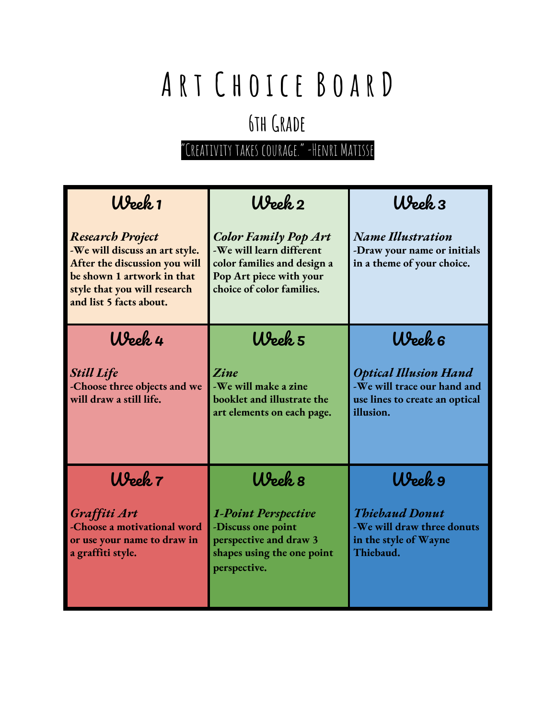### **6thGrade**

| Week 1                                                                                                                                                                              | Week 2                                                                                                                                         | $W$ eek $3$                                                                                                |
|-------------------------------------------------------------------------------------------------------------------------------------------------------------------------------------|------------------------------------------------------------------------------------------------------------------------------------------------|------------------------------------------------------------------------------------------------------------|
| <b>Research Project</b><br>-We will discuss an art style.<br>After the discussion you will<br>be shown 1 artwork in that<br>style that you will research<br>and list 5 facts about. | <b>Color Family Pop Art</b><br>-We will learn different<br>color families and design a<br>Pop Art piece with your<br>choice of color families. | <b>Name Illustration</b><br>-Draw your name or initials<br>in a theme of your choice.                      |
| Week 4                                                                                                                                                                              | Week 5                                                                                                                                         | Week 6                                                                                                     |
| <b>Still Life</b><br>-Choose three objects and we<br>will draw a still life.                                                                                                        | <i><b>Zine</b></i><br>-We will make a zine<br>booklet and illustrate the<br>art elements on each page.                                         | <b>Optical Illusion Hand</b><br>-We will trace our hand and<br>use lines to create an optical<br>illusion. |
| Week 7                                                                                                                                                                              | $W$ eek $s$                                                                                                                                    | Week 9                                                                                                     |
| Graffiti Art<br>-Choose a motivational word<br>or use your name to draw in<br>a graffiti style.                                                                                     | <b>1-Point Perspective</b><br>-Discuss one point<br>perspective and draw 3<br>shapes using the one point<br>perspective.                       | <b>Thiebaud Donut</b><br>-We will draw three donuts<br>in the style of Wayne<br>Thiebaud.                  |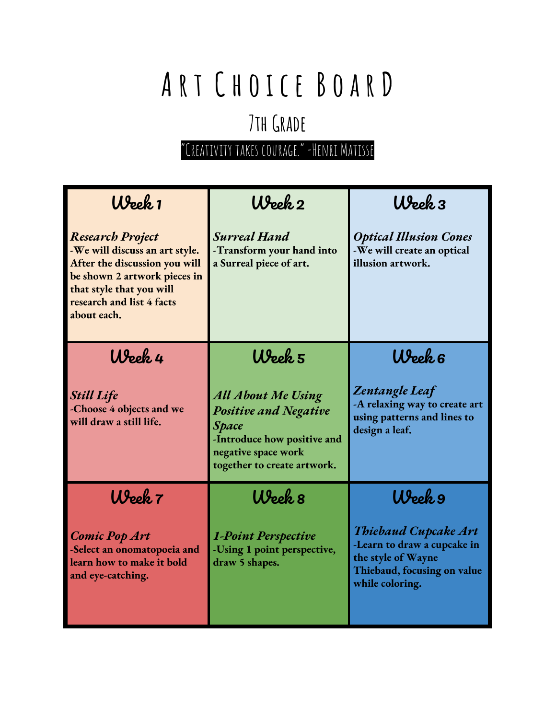### **7thGrade**

| Week 1                                                                                                                                                                                             | Week 2                                                                                                                                                         | $W$ eek $3$                                                                                                                        |
|----------------------------------------------------------------------------------------------------------------------------------------------------------------------------------------------------|----------------------------------------------------------------------------------------------------------------------------------------------------------------|------------------------------------------------------------------------------------------------------------------------------------|
| <b>Research Project</b><br>-We will discuss an art style.<br>After the discussion you will<br>be shown 2 artwork pieces in<br>that style that you will<br>research and list 4 facts<br>about each. | <b>Surreal Hand</b><br>-Transform your hand into<br>a Surreal piece of art.                                                                                    | <b>Optical Illusion Cones</b><br>-We will create an optical<br>illusion artwork.                                                   |
| Week 4                                                                                                                                                                                             | Week 5                                                                                                                                                         | Week 6                                                                                                                             |
| <b>Still Life</b><br>-Choose 4 objects and we<br>will draw a still life.                                                                                                                           | <b>All About Me Using</b><br><b>Positive and Negative</b><br><b>Space</b><br>-Introduce how positive and<br>negative space work<br>together to create artwork. | <b>Zentangle Leaf</b><br>-A relaxing way to create art<br>using patterns and lines to<br>design a leaf.                            |
| Week 7                                                                                                                                                                                             | Week 8                                                                                                                                                         | Week 9                                                                                                                             |
| <b>Comic Pop Art</b><br>-Select an onomatopoeia and<br>learn how to make it bold<br>and eye-catching.                                                                                              | <b>1-Point Perspective</b><br>-Using 1 point perspective,<br>draw 5 shapes.                                                                                    | <b>Thiebaud Cupcake Art</b><br>-Learn to draw a cupcake in<br>the style of Wayne<br>Thiebaud, focusing on value<br>while coloring. |